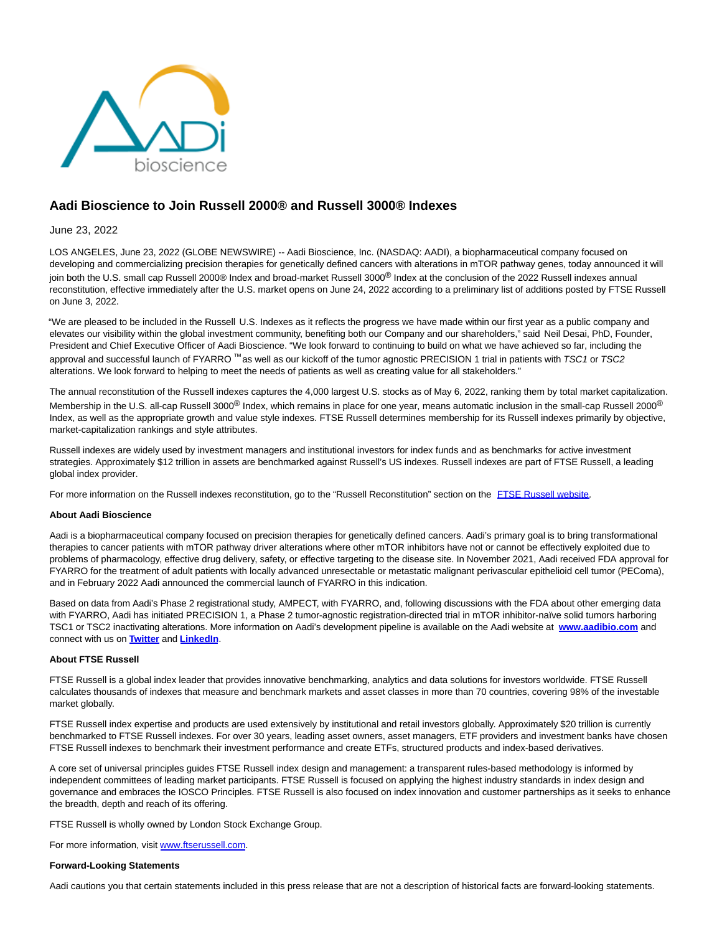

# **Aadi Bioscience to Join Russell 2000® and Russell 3000® Indexes**

## June 23, 2022

LOS ANGELES, June 23, 2022 (GLOBE NEWSWIRE) -- Aadi Bioscience, Inc. (NASDAQ: AADI), a biopharmaceutical company focused on developing and commercializing precision therapies for genetically defined cancers with alterations in mTOR pathway genes, today announced it will join both the U.S. small cap Russell 2000® Index and broad-market Russell 3000<sup>®</sup> Index at the conclusion of the 2022 Russell indexes annual reconstitution, effective immediately after the U.S. market opens on June 24, 2022 according to a preliminary list of additions posted by FTSE Russell on June 3, 2022.

"We are pleased to be included in the Russell U.S. Indexes as it reflects the progress we have made within our first year as a public company and elevates our visibility within the global investment community, benefiting both our Company and our shareholders," said Neil Desai, PhD, Founder, President and Chief Executive Officer of Aadi Bioscience. "We look forward to continuing to build on what we have achieved so far, including the approval and successful launch of FYARRO ™ as well as our kickoff of the tumor agnostic PRECISION 1 trial in patients with TSC1 or TSC2 alterations. We look forward to helping to meet the needs of patients as well as creating value for all stakeholders."

The annual reconstitution of the Russell indexes captures the 4,000 largest U.S. stocks as of May 6, 2022, ranking them by total market capitalization. Membership in the U.S. all-cap Russell 3000<sup>®</sup> Index, which remains in place for one year, means automatic inclusion in the small-cap Russell 2000<sup>®</sup> Index, as well as the appropriate growth and value style indexes. FTSE Russell determines membership for its Russell indexes primarily by objective, market-capitalization rankings and style attributes.

Russell indexes are widely used by investment managers and institutional investors for index funds and as benchmarks for active investment strategies. Approximately \$12 trillion in assets are benchmarked against Russell's US indexes. Russell indexes are part of FTSE Russell, a leading global index provider.

For more information on the Russell indexes reconstitution, go to the "Russell Reconstitution" section on the [FTSE Russell website.](https://www.globenewswire.com/Tracker?data=Txy1f10Ujya91Eq9Qfd19gqMCUrvKhGrnxbDH04fUsyWD2hk9eQ0Wso9j_E1qRmfcSegrCfoNm7pwtrqBlx35e_7oQXMZQv-whIGRQWvXm6Hqscij8T5AT6nIWygbVGs6k4kcOw3KMcS1LnQVvsNHw==)

### **About Aadi Bioscience**

Aadi is a biopharmaceutical company focused on precision therapies for genetically defined cancers. Aadi's primary goal is to bring transformational therapies to cancer patients with mTOR pathway driver alterations where other mTOR inhibitors have not or cannot be effectively exploited due to problems of pharmacology, effective drug delivery, safety, or effective targeting to the disease site. In November 2021, Aadi received FDA approval for FYARRO for the treatment of adult patients with locally advanced unresectable or metastatic malignant perivascular epithelioid cell tumor (PEComa), and in February 2022 Aadi announced the commercial launch of FYARRO in this indication.

Based on data from Aadi's Phase 2 registrational study, AMPECT, with FYARRO, and, following discussions with the FDA about other emerging data with FYARRO, Aadi has initiated PRECISION 1, a Phase 2 tumor-agnostic registration-directed trial in mTOR inhibitor-naïve solid tumors harboring TSC1 or TSC2 inactivating alterations. More information on Aadi's development pipeline is available on the Aadi website at **[www.aadibio.com](https://www.globenewswire.com/Tracker?data=3CIJDH_GnRVyKntDlPRgvujp0A9f5YWmo9umNLR_y3rtRL4Nx7_9dCgfxV6t7YMLMQgmwVjZmQu8caitBdr3jw==)** and connect with us on **[Twitter](https://www.globenewswire.com/Tracker?data=9fVqyjPV6nhsoN7wxBgh73pP6-WVGt7XW24O1RCz-DEHiRuC45n1oO-71t5OIKeYGOFltZLkMbOIlA-Bf1Oxlw==)** and **[LinkedIn](https://www.globenewswire.com/Tracker?data=LOdORQbMR-CnSTvLrVwoB716d6onGB6tq3bwCtfNv6yr0IkEWNB3zVASppeCQrKjmedBGMCGv6Vl3248xOqjtpEzjfeDS31vsQY88w89EfaaIGfY8MsAqMPn1XAfVdDi)**.

### **About FTSE Russell**

FTSE Russell is a global index leader that provides innovative benchmarking, analytics and data solutions for investors worldwide. FTSE Russell calculates thousands of indexes that measure and benchmark markets and asset classes in more than 70 countries, covering 98% of the investable market globally.

FTSE Russell index expertise and products are used extensively by institutional and retail investors globally. Approximately \$20 trillion is currently benchmarked to FTSE Russell indexes. For over 30 years, leading asset owners, asset managers, ETF providers and investment banks have chosen FTSE Russell indexes to benchmark their investment performance and create ETFs, structured products and index-based derivatives.

A core set of universal principles guides FTSE Russell index design and management: a transparent rules-based methodology is informed by independent committees of leading market participants. FTSE Russell is focused on applying the highest industry standards in index design and governance and embraces the IOSCO Principles. FTSE Russell is also focused on index innovation and customer partnerships as it seeks to enhance the breadth, depth and reach of its offering.

FTSE Russell is wholly owned by London Stock Exchange Group.

For more information, visit [www.ftserussell.com.](https://www.globenewswire.com/Tracker?data=Ig-MNzWJV-QOTfnVPl-R3ZaU8ERo6Up4QGT7Km2CXRio5JOa-Wv_M8YTnSUru6vpkUbfYKvAxbNardV0IiiRAxos32u8h4xNBv-IVnUTL4k=)

### **Forward-Looking Statements**

Aadi cautions you that certain statements included in this press release that are not a description of historical facts are forward-looking statements.